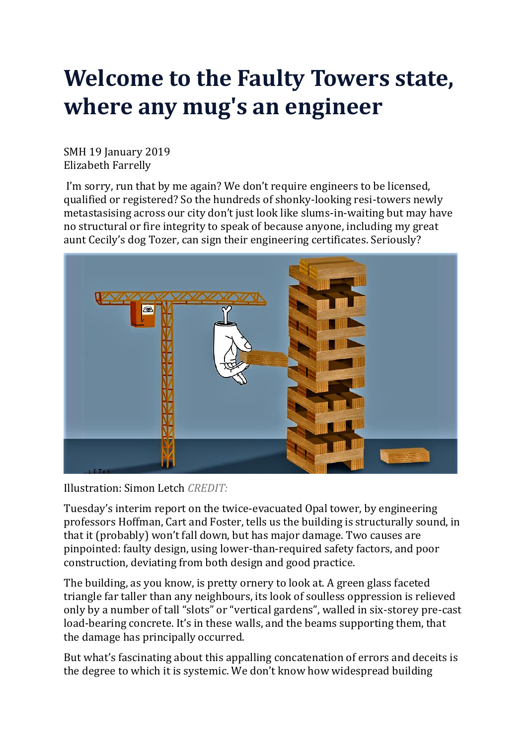# **Welcome to the Faulty Towers state, where any mug's an engineer**

SMH 19 January 2019 Elizabeth Farrelly

I'm sorry, run that by me again? We don't require engineers to be licensed, qualified or registered? So the hundreds of shonky-looking resi-towers newly metastasising across our city don't just look like slums-in-waiting but may have no structural or fire integrity to speak of because anyone, including my great aunt Cecily's dog Tozer, can sign their engineering certificates. Seriously?



Illustration: Simon Letch *CREDIT:*

Tuesday's interim report on the twice-evacuated Opal tower, by engineering professors Hoffman, Cart and Foster, tells us the building is structurally sound, in that it (probably) won't fall down, but has major damage. Two causes are pinpointed: faulty design, using lower-than-required safety factors, and poor construction, deviating from both design and good practice.

The building, as you know, is pretty ornery to look at. A green glass faceted triangle far taller than any neighbours, its look of soulless oppression is relieved only by a number of tall "slots" or "vertical gardens", walled in six-storey pre-cast load-bearing concrete. It's in these walls, and the beams supporting them, that the damage has principally occurred.

But what's fascinating about this appalling concatenation of errors and deceits is the degree to which it is systemic. We don't know how widespread building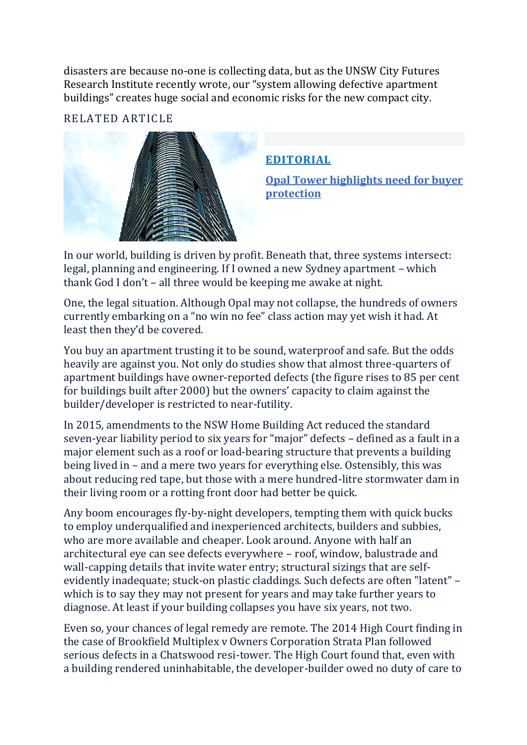disasters are because no-one is collecting data, but as the UNSW City Futures Research Institute recently wrote, our "system allowing defective apartment buildings" creates huge social and economic risks for the new compact city.

# RELATED ARTICL[E](https://www.smh.com.au/business/consumer-affairs/opal-tower-highlights-need-for-buyer-protection-20190115-p50rhf.html)



# **[EDITORIAL](https://www.smh.com.au/topic/smh-editorial-1r6)**

**Opal Tower [highlights](https://www.smh.com.au/business/consumer-affairs/opal-tower-highlights-need-for-buyer-protection-20190115-p50rhf.html) need for buyer [protection](https://www.smh.com.au/business/consumer-affairs/opal-tower-highlights-need-for-buyer-protection-20190115-p50rhf.html)**

In our world, building is driven by profit. Beneath that, three systems intersect: legal, planning and engineering. If I owned a new Sydney apartment – which thank God I don't – all three would be keeping me awake at night.

One, the legal situation. Although Opal may not collapse, the hundreds of owners currently embarking on a "no win no fee" class action may yet wish it had. At least then they'd be covered.

You buy an apartment trusting it to be sound, waterproof and safe. But the odds heavily are against you. Not only do studies show that almost three-quarters of apartment buildings have owner-reported defects (the figure rises to 85 per cent for buildings built after 2000) but the owners' capacity to claim against the builder/developer is restricted to near-futility.

In 2015, amendments to the NSW Home Building Act reduced the standard seven-year liability period to six years for "major" defects – defined as a fault in a major element such as a roof or load-bearing structure that prevents a building being lived in – and a mere two years for everything else. Ostensibly, this was about reducing red tape, but those with a mere hundred-litre stormwater dam in their living room or a rotting front door had better be quick.

Any boom encourages fly-by-night developers, tempting them with quick bucks to employ underqualified and inexperienced architects, builders and subbies, who are more available and cheaper. Look around. Anyone with half an architectural eye can see defects everywhere – roof, window, balustrade and wall-capping details that invite water entry; structural sizings that are selfevidently inadequate; stuck-on plastic claddings. Such defects are often "latent" – which is to say they may not present for years and may take further years to diagnose. At least if your building collapses you have six years, not two.

Even so, your chances of legal remedy are remote. The 2014 High Court finding in the case of Brookfield Multiplex v Owners Corporation Strata Plan followed serious defects in a Chatswood resi-tower. The High Court found that, even with a building rendered uninhabitable, the developer-builder owed no duty of care to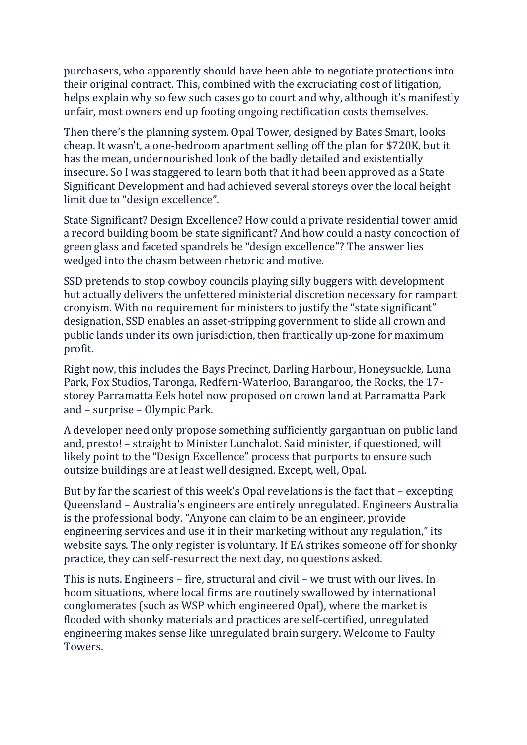purchasers, who apparently should have been able to negotiate protections into their original contract. This, combined with the excruciating cost of litigation, helps explain why so few such cases go to court and why, although it's manifestly unfair, most owners end up footing ongoing rectification costs themselves.

Then there's the planning system. Opal Tower, designed by Bates Smart, looks cheap. It wasn't, a one-bedroom apartment selling off the plan for \$720K, but it has the mean, undernourished look of the badly detailed and existentially insecure. So I was staggered to learn both that it had been approved as a State Significant Development and had achieved several storeys over the local height limit due to "design excellence".

State Significant? Design Excellence? How could a private residential tower amid a record building boom be state significant? And how could a nasty concoction of green glass and faceted spandrels be "design excellence"? The answer lies wedged into the chasm between rhetoric and motive.

SSD pretends to stop cowboy councils playing silly buggers with development but actually delivers the unfettered ministerial discretion necessary for rampant cronyism. With no requirement for ministers to justify the "state significant" designation, SSD enables an asset-stripping government to slide all crown and public lands under its own jurisdiction, then frantically up-zone for maximum profit.

Right now, this includes the Bays Precinct, Darling Harbour, Honeysuckle, Luna Park, Fox Studios, Taronga, Redfern-Waterloo, Barangaroo, the Rocks, the 17 storey Parramatta Eels hotel now proposed on crown land at Parramatta Park and – surprise – Olympic Park.

A developer need only propose something sufficiently gargantuan on public land and, presto! – straight to Minister Lunchalot. Said minister, if questioned, will likely point to the "Design Excellence" process that purports to ensure such outsize buildings are at least well designed. Except, well, Opal.

But by far the scariest of this week's Opal revelations is the fact that – excepting Queensland – Australia's engineers are entirely unregulated. Engineers Australia is the professional body. "Anyone can claim to be an engineer, provide engineering services and use it in their marketing without any regulation," its website says. The only register is voluntary. If EA strikes someone off for shonky practice, they can self-resurrect the next day, no questions asked.

This is nuts. Engineers – fire, structural and civil – we trust with our lives. In boom situations, where local firms are routinely swallowed by international conglomerates (such as WSP which engineered Opal), where the market is flooded with shonky materials and practices are self-certified, unregulated engineering makes sense like unregulated brain surgery. Welcome to Faulty Towers.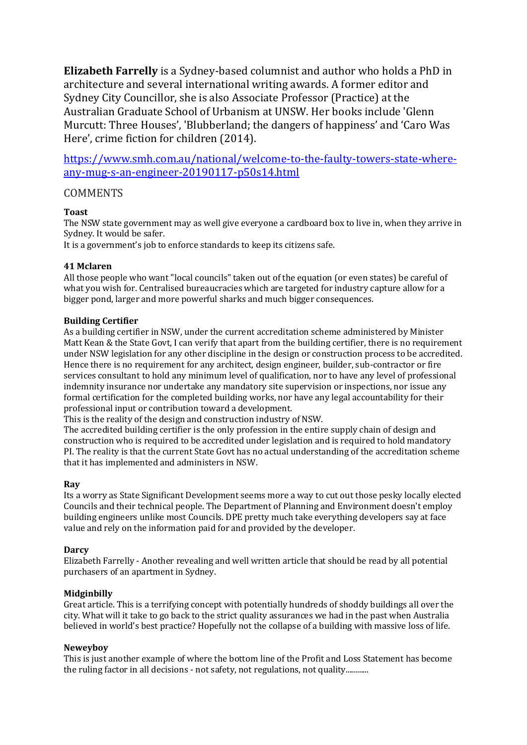**Elizabeth Farrelly** is a Sydney-based columnist and author who holds a PhD in architecture and several international writing awards. A former editor and Sydney City Councillor, she is also Associate Professor (Practice) at the Australian Graduate School of Urbanism at UNSW. Her books include 'Glenn Murcutt: Three Houses', 'Blubberland; the dangers of happiness' and 'Caro Was Here', crime fiction for children (2014).

[https://www.smh.com.au/national/welcome-to-the-faulty-towers-state-where](https://www.smh.com.au/national/welcome-to-the-faulty-towers-state-where-any-mug-s-an-engineer-20190117-p50s14.html)[any-mug-s-an-engineer-20190117-p50s14.html](https://www.smh.com.au/national/welcome-to-the-faulty-towers-state-where-any-mug-s-an-engineer-20190117-p50s14.html)

# **COMMENTS**

# **Toast**

The NSW state government may as well give everyone a cardboard box to live in, when they arrive in Sydney. It would be safer.

It is a government's job to enforce standards to keep its citizens safe.

# **41 Mclaren**

All those people who want "local councils" taken out of the equation (or even states) be careful of what you wish for. Centralised bureaucracies which are targeted for industry capture allow for a bigger pond, larger and more powerful sharks and much bigger consequences.

## **Building Certifier**

As a building certifier in NSW, under the current accreditation scheme administered by Minister Matt Kean & the State Govt, I can verify that apart from the building certifier, there is no requirement under NSW legislation for any other discipline in the design or construction process to be accredited. Hence there is no requirement for any architect, design engineer, builder, sub-contractor or fire services consultant to hold any minimum level of qualification, nor to have any level of professional indemnity insurance nor undertake any mandatory site supervision or inspections, nor issue any formal certification for the completed building works, nor have any legal accountability for their professional input or contribution toward a development.

This is the reality of the design and construction industry of NSW.

The accredited building certifier is the only profession in the entire supply chain of design and construction who is required to be accredited under legislation and is required to hold mandatory PI. The reality is that the current State Govt has no actual understanding of the accreditation scheme that it has implemented and administers in NSW.

## **Ray**

Its a worry as State Significant Development seems more a way to cut out those pesky locally elected Councils and their technical people. The Department of Planning and Environment doesn't employ building engineers unlike most Councils. DPE pretty much take everything developers say at face value and rely on the information paid for and provided by the developer.

## **Darcy**

Elizabeth Farrelly - Another revealing and well written article that should be read by all potential purchasers of an apartment in Sydney.

## **Midginbilly**

Great article. This is a terrifying concept with potentially hundreds of shoddy buildings all over the city. What will it take to go back to the strict quality assurances we had in the past when Australia believed in world's best practice? Hopefully not the collapse of a building with massive loss of life.

## **Neweyboy**

This is just another example of where the bottom line of the Profit and Loss Statement has become the ruling factor in all decisions - not safety, not regulations, not quality............